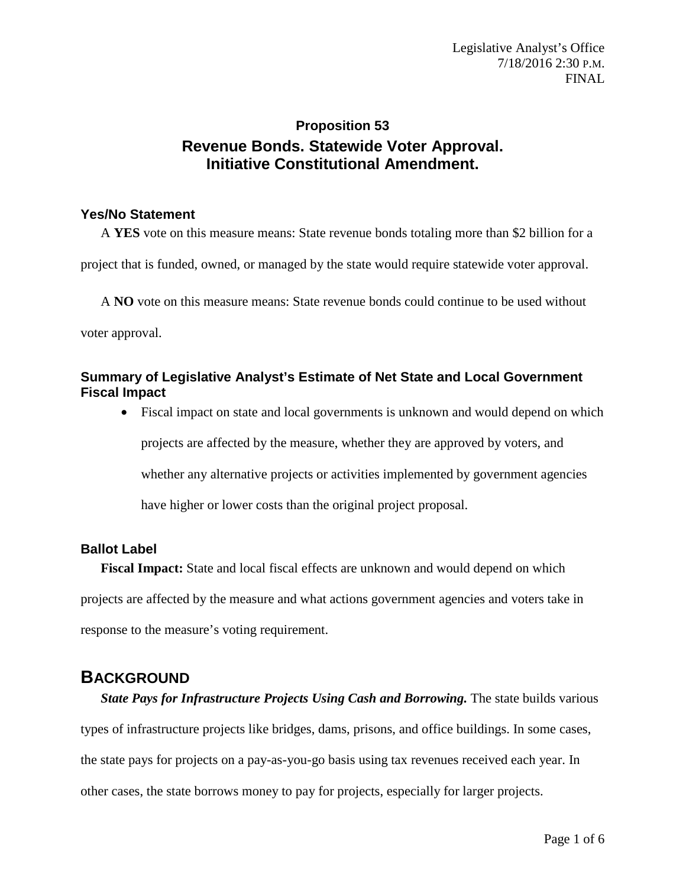## **Proposition 53 Revenue Bonds. Statewide Voter Approval. Initiative Constitutional Amendment.**

### **Yes/No Statement**

A **YES** vote on this measure means: State revenue bonds totaling more than \$2 billion for a

project that is funded, owned, or managed by the state would require statewide voter approval.

A **NO** vote on this measure means: State revenue bonds could continue to be used without

voter approval.

### **Summary of Legislative Analyst's Estimate of Net State and Local Government Fiscal Impact**

• Fiscal impact on state and local governments is unknown and would depend on which projects are affected by the measure, whether they are approved by voters, and whether any alternative projects or activities implemented by government agencies have higher or lower costs than the original project proposal.

## **Ballot Label**

**Fiscal Impact:** State and local fiscal effects are unknown and would depend on which projects are affected by the measure and what actions government agencies and voters take in response to the measure's voting requirement.

## **BACKGROUND**

*State Pays for Infrastructure Projects Using Cash and Borrowing. The state builds various* types of infrastructure projects like bridges, dams, prisons, and office buildings. In some cases, the state pays for projects on a pay-as-you-go basis using tax revenues received each year. In other cases, the state borrows money to pay for projects, especially for larger projects.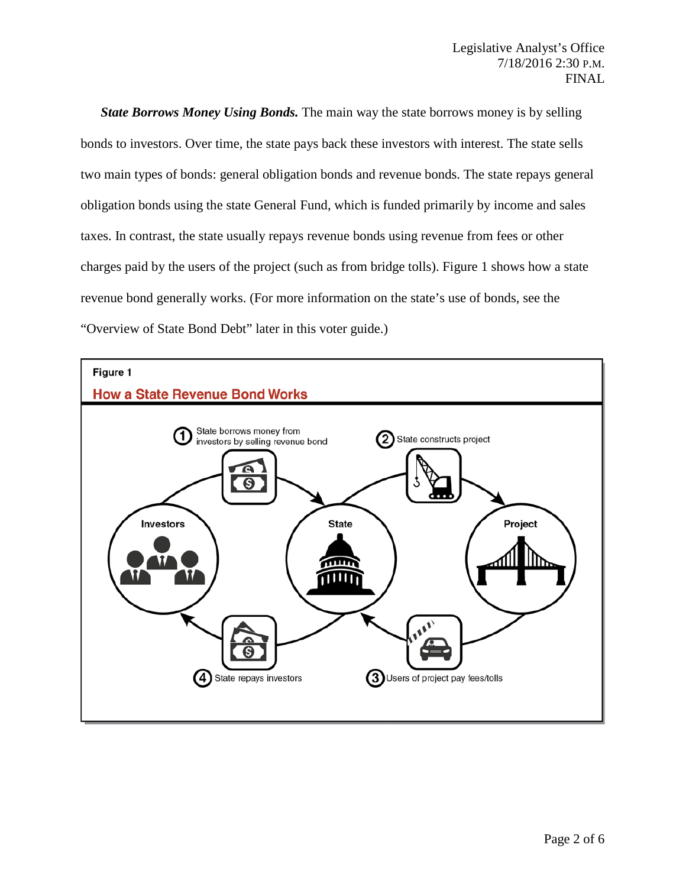*State Borrows Money Using Bonds.* The main way the state borrows money is by selling bonds to investors. Over time, the state pays back these investors with interest. The state sells two main types of bonds: general obligation bonds and revenue bonds. The state repays general obligation bonds using the state General Fund, which is funded primarily by income and sales taxes. In contrast, the state usually repays revenue bonds using revenue from fees or other charges paid by the users of the project (such as from bridge tolls). Figure 1 shows how a state revenue bond generally works. (For more information on the state's use of bonds, see the "Overview of State Bond Debt" later in this voter guide.)

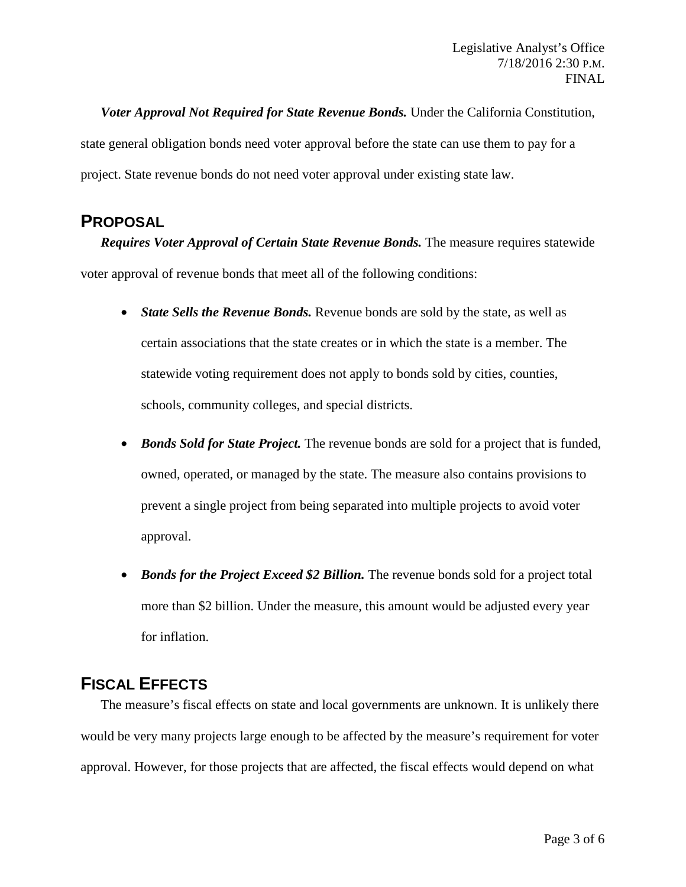*Voter Approval Not Required for State Revenue Bonds.* Under the California Constitution, state general obligation bonds need voter approval before the state can use them to pay for a project. State revenue bonds do not need voter approval under existing state law.

## **PROPOSAL**

*Requires Voter Approval of Certain State Revenue Bonds.* The measure requires statewide voter approval of revenue bonds that meet all of the following conditions:

- *State Sells the Revenue Bonds.* Revenue bonds are sold by the state, as well as certain associations that the state creates or in which the state is a member. The statewide voting requirement does not apply to bonds sold by cities, counties, schools, community colleges, and special districts.
- *Bonds Sold for State Project.* The revenue bonds are sold for a project that is funded, owned, operated, or managed by the state. The measure also contains provisions to prevent a single project from being separated into multiple projects to avoid voter approval.
- *Bonds for the Project Exceed \$2 Billion*. The revenue bonds sold for a project total more than \$2 billion. Under the measure, this amount would be adjusted every year for inflation.

# **FISCAL EFFECTS**

The measure's fiscal effects on state and local governments are unknown. It is unlikely there would be very many projects large enough to be affected by the measure's requirement for voter approval. However, for those projects that are affected, the fiscal effects would depend on what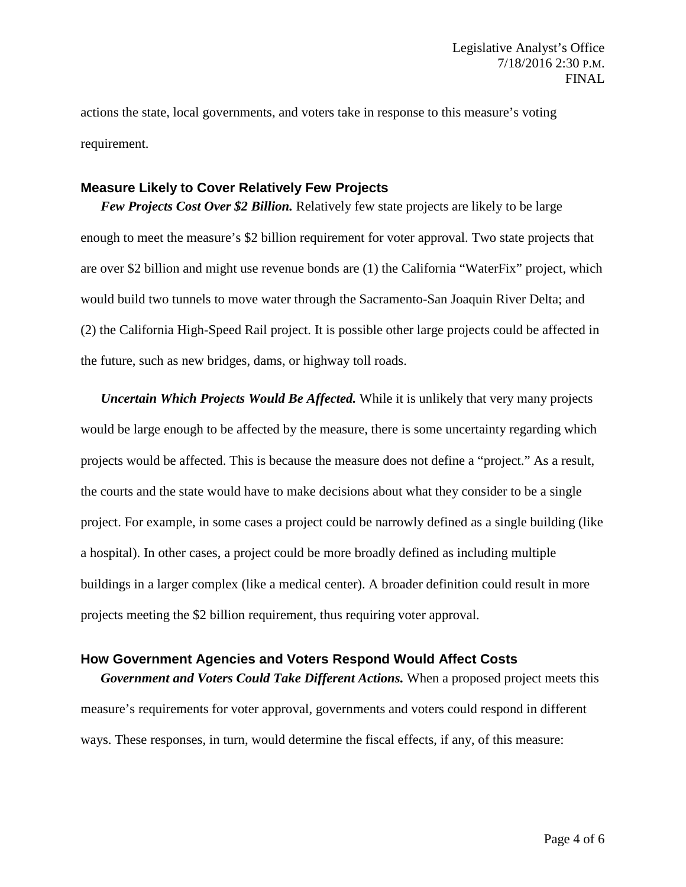actions the state, local governments, and voters take in response to this measure's voting requirement.

#### **Measure Likely to Cover Relatively Few Projects**

*Few Projects Cost Over \$2 Billion.* Relatively few state projects are likely to be large enough to meet the measure's \$2 billion requirement for voter approval. Two state projects that are over \$2 billion and might use revenue bonds are (1) the California "WaterFix" project, which would build two tunnels to move water through the Sacramento-San Joaquin River Delta; and (2) the California High-Speed Rail project. It is possible other large projects could be affected in the future, such as new bridges, dams, or highway toll roads.

*Uncertain Which Projects Would Be Affected.* While it is unlikely that very many projects would be large enough to be affected by the measure, there is some uncertainty regarding which projects would be affected. This is because the measure does not define a "project." As a result, the courts and the state would have to make decisions about what they consider to be a single project. For example, in some cases a project could be narrowly defined as a single building (like a hospital). In other cases, a project could be more broadly defined as including multiple buildings in a larger complex (like a medical center). A broader definition could result in more projects meeting the \$2 billion requirement, thus requiring voter approval.

#### **How Government Agencies and Voters Respond Would Affect Costs**

*Government and Voters Could Take Different Actions.* When a proposed project meets this measure's requirements for voter approval, governments and voters could respond in different ways. These responses, in turn, would determine the fiscal effects, if any, of this measure: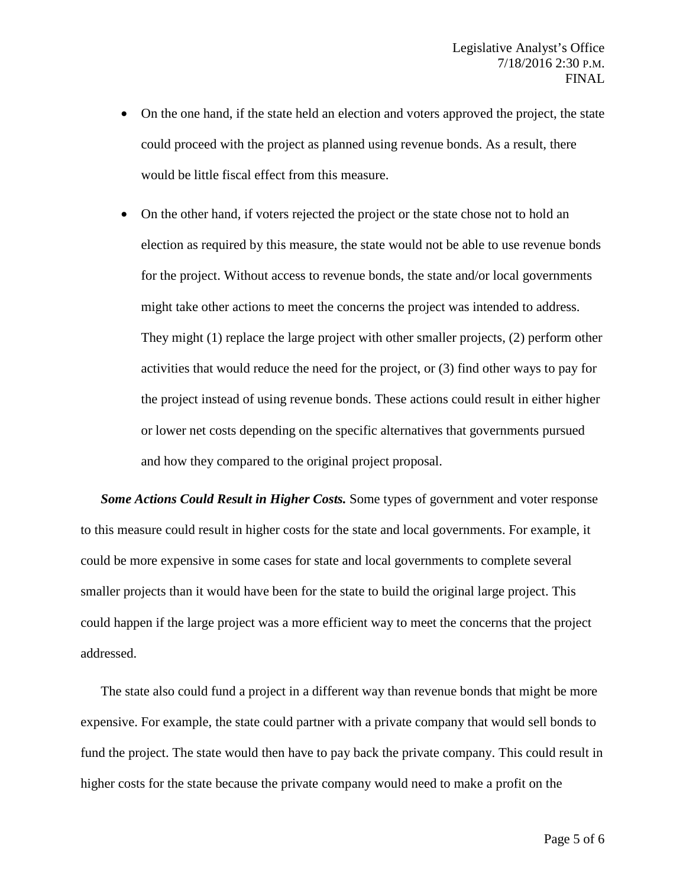- On the one hand, if the state held an election and voters approved the project, the state could proceed with the project as planned using revenue bonds. As a result, there would be little fiscal effect from this measure.
- On the other hand, if voters rejected the project or the state chose not to hold an election as required by this measure, the state would not be able to use revenue bonds for the project. Without access to revenue bonds, the state and/or local governments might take other actions to meet the concerns the project was intended to address. They might (1) replace the large project with other smaller projects, (2) perform other activities that would reduce the need for the project, or (3) find other ways to pay for the project instead of using revenue bonds. These actions could result in either higher or lower net costs depending on the specific alternatives that governments pursued and how they compared to the original project proposal.

*Some Actions Could Result in Higher Costs.* Some types of government and voter response to this measure could result in higher costs for the state and local governments. For example, it could be more expensive in some cases for state and local governments to complete several smaller projects than it would have been for the state to build the original large project. This could happen if the large project was a more efficient way to meet the concerns that the project addressed.

The state also could fund a project in a different way than revenue bonds that might be more expensive. For example, the state could partner with a private company that would sell bonds to fund the project. The state would then have to pay back the private company. This could result in higher costs for the state because the private company would need to make a profit on the